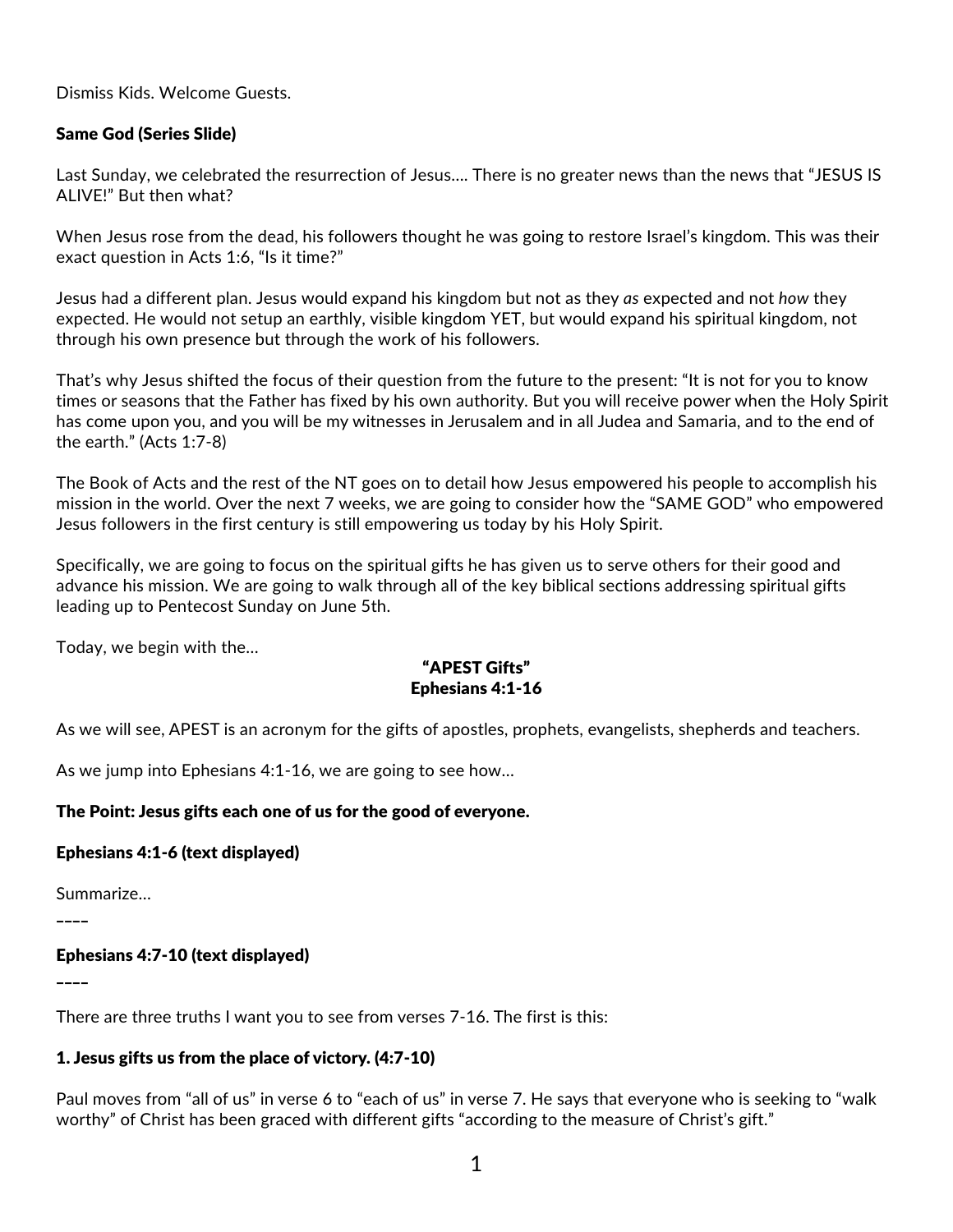Dismiss Kids. Welcome Guests.

### Same God (Series Slide)

Last Sunday, we celebrated the resurrection of Jesus…. There is no greater news than the news that "JESUS IS ALIVE!" But then what?

When Jesus rose from the dead, his followers thought he was going to restore Israel's kingdom. This was their exact question in Acts 1:6, "Is it time?"

Jesus had a different plan. Jesus would expand his kingdom but not as they *as* expected and not *how* they expected. He would not setup an earthly, visible kingdom YET, but would expand his spiritual kingdom, not through his own presence but through the work of his followers.

That's why Jesus shifted the focus of their question from the future to the present: "It is not for you to know times or seasons that the Father has fixed by his own authority. But you will receive power when the Holy Spirit has come upon you, and you will be my witnesses in Jerusalem and in all Judea and Samaria, and to the end of the earth." (Acts 1:7-8)

The Book of Acts and the rest of the NT goes on to detail how Jesus empowered his people to accomplish his mission in the world. Over the next 7 weeks, we are going to consider how the "SAME GOD" who empowered Jesus followers in the first century is still empowering us today by his Holy Spirit.

Specifically, we are going to focus on the spiritual gifts he has given us to serve others for their good and advance his mission. We are going to walk through all of the key biblical sections addressing spiritual gifts leading up to Pentecost Sunday on June 5th.

Today, we begin with the…

# "APEST Gifts" Ephesians 4:1-16

As we will see, APEST is an acronym for the gifts of apostles, prophets, evangelists, shepherds and teachers.

As we jump into Ephesians 4:1-16, we are going to see how…

#### The Point: Jesus gifts each one of us for the good of everyone.

Ephesians 4:1-6 (text displayed)

Summarize…

 $\overline{\phantom{a}}$ 

Ephesians 4:7-10 (text displayed)

\_\_\_\_

There are three truths I want you to see from verses 7-16. The first is this:

#### 1. Jesus gifts us from the place of victory. (4:7-10)

Paul moves from "all of us" in verse 6 to "each of us" in verse 7. He says that everyone who is seeking to "walk worthy" of Christ has been graced with different gifts "according to the measure of Christ's gift."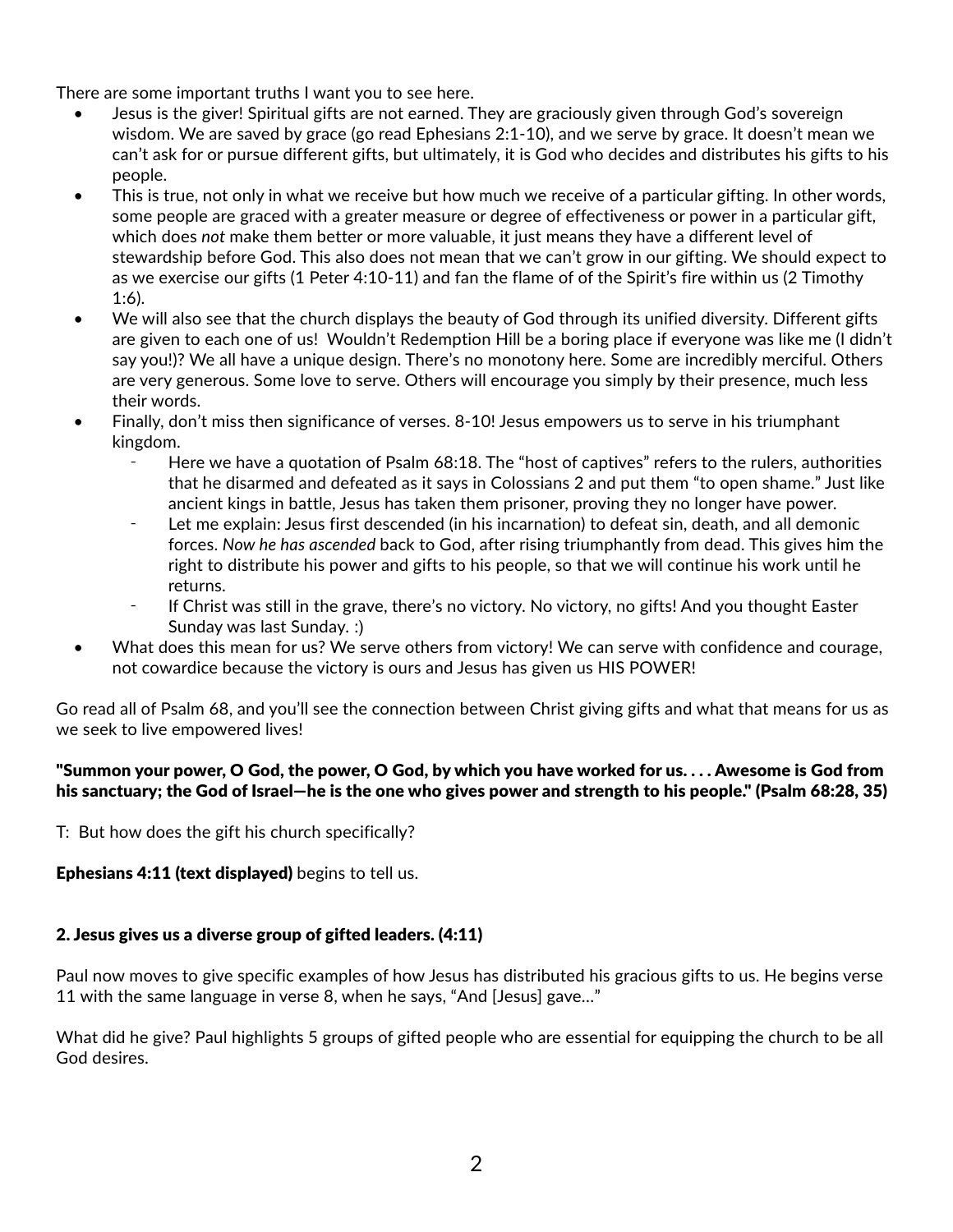There are some important truths I want you to see here.

- Jesus is the giver! Spiritual gifts are not earned. They are graciously given through God's sovereign wisdom. We are saved by grace (go read Ephesians 2:1-10), and we serve by grace. It doesn't mean we can't ask for or pursue different gifts, but ultimately, it is God who decides and distributes his gifts to his people.
- This is true, not only in what we receive but how much we receive of a particular gifting. In other words, some people are graced with a greater measure or degree of effectiveness or power in a particular gift, which does *not* make them better or more valuable, it just means they have a different level of stewardship before God. This also does not mean that we can't grow in our gifting. We should expect to as we exercise our gifts (1 Peter 4:10-11) and fan the flame of of the Spirit's fire within us (2 Timothy 1:6).
- We will also see that the church displays the beauty of God through its unified diversity. Different gifts are given to each one of us! Wouldn't Redemption Hill be a boring place if everyone was like me (I didn't say you!)? We all have a unique design. There's no monotony here. Some are incredibly merciful. Others are very generous. Some love to serve. Others will encourage you simply by their presence, much less their words.
- Finally, don't miss then significance of verses. 8-10! Jesus empowers us to serve in his triumphant kingdom.
	- Here we have a quotation of Psalm 68:18. The "host of captives" refers to the rulers, authorities that he disarmed and defeated as it says in Colossians 2 and put them "to open shame." Just like ancient kings in battle, Jesus has taken them prisoner, proving they no longer have power.
	- Let me explain: Jesus first descended (in his incarnation) to defeat sin, death, and all demonic forces. *Now he has ascended* back to God, after rising triumphantly from dead. This gives him the right to distribute his power and gifts to his people, so that we will continue his work until he returns.
	- If Christ was still in the grave, there's no victory. No victory, no gifts! And you thought Easter Sunday was last Sunday. :)
- What does this mean for us? We serve others from victory! We can serve with confidence and courage, not cowardice because the victory is ours and Jesus has given us HIS POWER!

Go read all of Psalm 68, and you'll see the connection between Christ giving gifts and what that means for us as we seek to live empowered lives!

# "Summon your power, O God, the power, O God, by which you have worked for us. . . . Awesome is God from his sanctuary; the God of Israel—he is the one who gives power and strength to his people." (Psalm 68:28, 35)

T: But how does the gift his church specifically?

**Ephesians 4:11 (text displayed)** begins to tell us.

# 2. Jesus gives us a diverse group of gifted leaders. (4:11)

Paul now moves to give specific examples of how Jesus has distributed his gracious gifts to us. He begins verse 11 with the same language in verse 8, when he says, "And [Jesus] gave…"

What did he give? Paul highlights 5 groups of gifted people who are essential for equipping the church to be all God desires.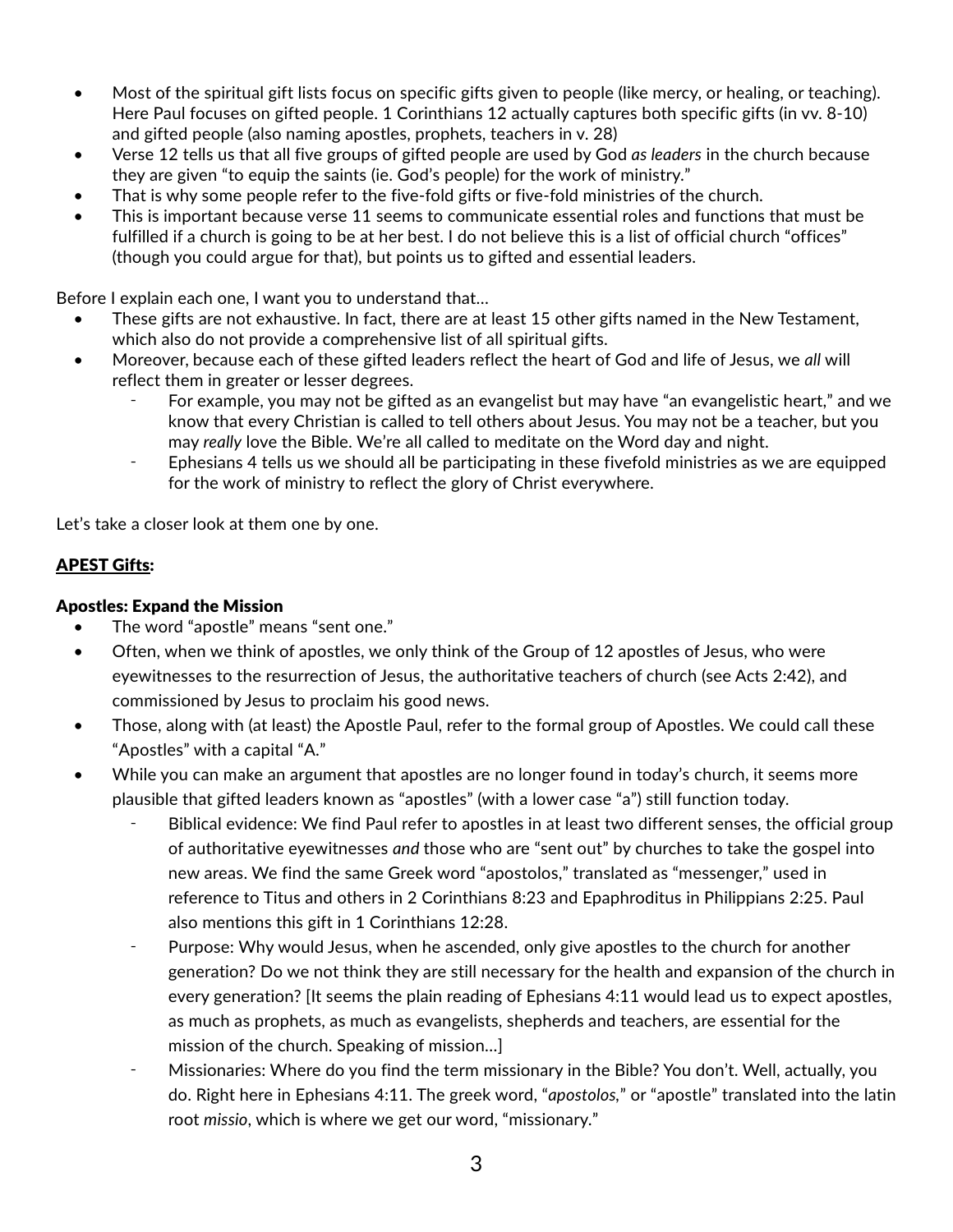- Most of the spiritual gift lists focus on specific gifts given to people (like mercy, or healing, or teaching). Here Paul focuses on gifted people. 1 Corinthians 12 actually captures both specific gifts (in vv. 8-10) and gifted people (also naming apostles, prophets, teachers in v. 28)
- Verse 12 tells us that all five groups of gifted people are used by God *as leaders* in the church because they are given "to equip the saints (ie. God's people) for the work of ministry."
- That is why some people refer to the five-fold gifts or five-fold ministries of the church.
- This is important because verse 11 seems to communicate essential roles and functions that must be fulfilled if a church is going to be at her best. I do not believe this is a list of official church "offices" (though you could argue for that), but points us to gifted and essential leaders.

Before I explain each one, I want you to understand that…

- These gifts are not exhaustive. In fact, there are at least 15 other gifts named in the New Testament, which also do not provide a comprehensive list of all spiritual gifts.
- Moreover, because each of these gifted leaders reflect the heart of God and life of Jesus, we *all* will reflect them in greater or lesser degrees.
	- For example, you may not be gifted as an evangelist but may have "an evangelistic heart," and we know that every Christian is called to tell others about Jesus. You may not be a teacher, but you may *really* love the Bible. We're all called to meditate on the Word day and night.
	- ⁃ Ephesians 4 tells us we should all be participating in these fivefold ministries as we are equipped for the work of ministry to reflect the glory of Christ everywhere.

Let's take a closer look at them one by one.

#### APEST Gifts:

#### Apostles: Expand the Mission

- The word "apostle" means "sent one."
- Often, when we think of apostles, we only think of the Group of 12 apostles of Jesus, who were eyewitnesses to the resurrection of Jesus, the authoritative teachers of church (see Acts 2:42), and commissioned by Jesus to proclaim his good news.
- Those, along with (at least) the Apostle Paul, refer to the formal group of Apostles. We could call these "Apostles" with a capital "A."
- While you can make an argument that apostles are no longer found in today's church, it seems more plausible that gifted leaders known as "apostles" (with a lower case "a") still function today.
	- Biblical evidence: We find Paul refer to apostles in at least two different senses, the official group of authoritative eyewitnesses *and* those who are "sent out" by churches to take the gospel into new areas. We find the same Greek word "apostolos," translated as "messenger," used in reference to Titus and others in 2 Corinthians 8:23 and Epaphroditus in Philippians 2:25. Paul also mentions this gift in 1 Corinthians 12:28.
	- ⁃ Purpose: Why would Jesus, when he ascended, only give apostles to the church for another generation? Do we not think they are still necessary for the health and expansion of the church in every generation? [It seems the plain reading of Ephesians 4:11 would lead us to expect apostles, as much as prophets, as much as evangelists, shepherds and teachers, are essential for the mission of the church. Speaking of mission…]
	- Missionaries: Where do you find the term missionary in the Bible? You don't. Well, actually, you do. Right here in Ephesians 4:11. The greek word, "*apostolos,*" or "apostle" translated into the latin root *missio*, which is where we get our word, "missionary."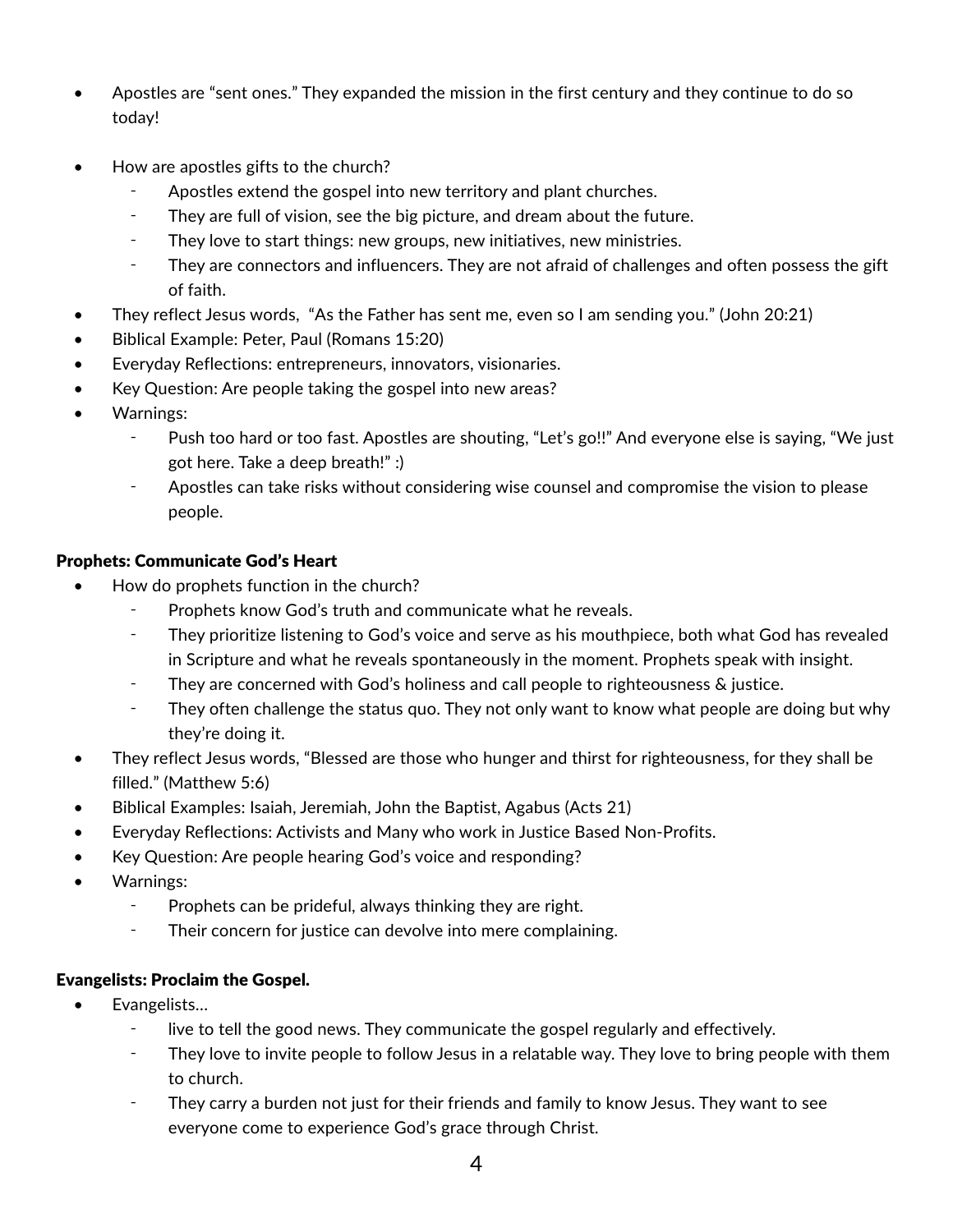- Apostles are "sent ones." They expanded the mission in the first century and they continue to do so today!
- How are apostles gifts to the church?
	- Apostles extend the gospel into new territory and plant churches.
	- They are full of vision, see the big picture, and dream about the future.
	- ⁃ They love to start things: new groups, new initiatives, new ministries.
	- ⁃ They are connectors and influencers. They are not afraid of challenges and often possess the gift of faith.
- They reflect Jesus words, "As the Father has sent me, even so I am sending you." (John 20:21)
- Biblical Example: Peter, Paul (Romans 15:20)
- Everyday Reflections: entrepreneurs, innovators, visionaries.
- Key Question: Are people taking the gospel into new areas?
- Warnings:
	- ⁃ Push too hard or too fast. Apostles are shouting, "Let's go!!" And everyone else is saying, "We just got here. Take a deep breath!" :)
	- ⁃ Apostles can take risks without considering wise counsel and compromise the vision to please people.

# Prophets: Communicate God's Heart

- How do prophets function in the church?
	- Prophets know God's truth and communicate what he reveals.
	- ⁃ They prioritize listening to God's voice and serve as his mouthpiece, both what God has revealed in Scripture and what he reveals spontaneously in the moment. Prophets speak with insight.
	- ⁃ They are concerned with God's holiness and call people to righteousness & justice.
	- They often challenge the status quo. They not only want to know what people are doing but why they're doing it.
- They reflect Jesus words, "Blessed are those who hunger and thirst for righteousness, for they shall be filled." (Matthew 5:6)
- Biblical Examples: Isaiah, Jeremiah, John the Baptist, Agabus (Acts 21)
- Everyday Reflections: Activists and Many who work in Justice Based Non-Profits.
- Key Question: Are people hearing God's voice and responding?
- Warnings:
	- ⁃ Prophets can be prideful, always thinking they are right.
	- ⁃ Their concern for justice can devolve into mere complaining.

# Evangelists: Proclaim the Gospel.

- Evangelists…
	- ⁃ live to tell the good news. They communicate the gospel regularly and effectively.
	- They love to invite people to follow Jesus in a relatable way. They love to bring people with them to church.
	- They carry a burden not just for their friends and family to know Jesus. They want to see everyone come to experience God's grace through Christ.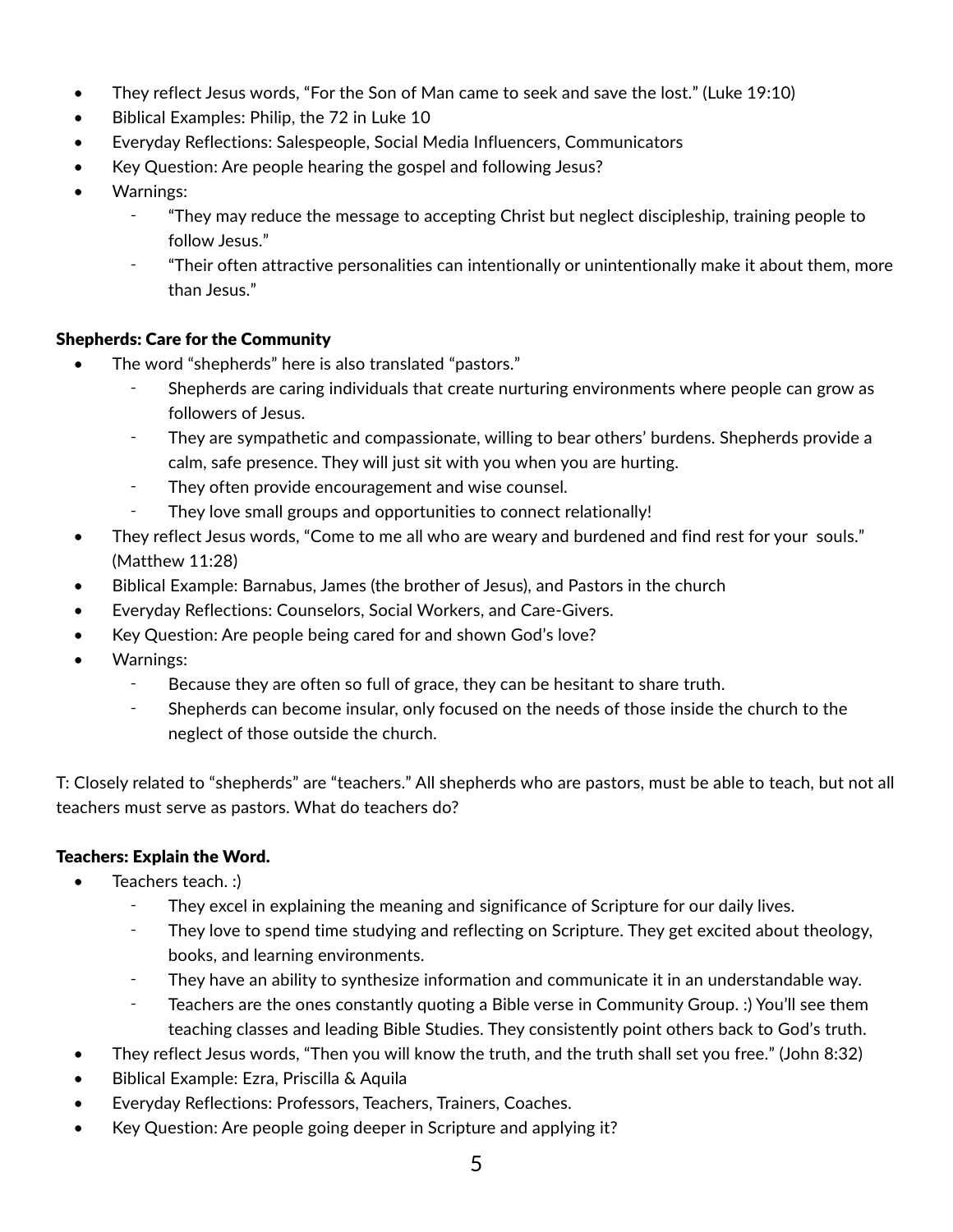- They reflect Jesus words, "For the Son of Man came to seek and save the lost." (Luke 19:10)
- Biblical Examples: Philip, the 72 in Luke 10
- Everyday Reflections: Salespeople, Social Media Influencers, Communicators
- Key Question: Are people hearing the gospel and following Jesus?
- Warnings:
	- ⁃ "They may reduce the message to accepting Christ but neglect discipleship, training people to follow Jesus."
	- ⁃ "Their often attractive personalities can intentionally or unintentionally make it about them, more than Jesus."

### Shepherds: Care for the Community

- The word "shepherds" here is also translated "pastors."
	- ⁃ Shepherds are caring individuals that create nurturing environments where people can grow as followers of Jesus.
	- ⁃ They are sympathetic and compassionate, willing to bear others' burdens. Shepherds provide a calm, safe presence. They will just sit with you when you are hurting.
	- ⁃ They often provide encouragement and wise counsel.
		- They love small groups and opportunities to connect relationally!
- They reflect Jesus words, "Come to me all who are weary and burdened and find rest for your souls." (Matthew 11:28)
- Biblical Example: Barnabus, James (the brother of Jesus), and Pastors in the church
- Everyday Reflections: Counselors, Social Workers, and Care-Givers.
- Key Question: Are people being cared for and shown God's love?
- Warnings:
	- ⁃ Because they are often so full of grace, they can be hesitant to share truth.
	- Shepherds can become insular, only focused on the needs of those inside the church to the neglect of those outside the church.

T: Closely related to "shepherds" are "teachers." All shepherds who are pastors, must be able to teach, but not all teachers must serve as pastors. What do teachers do?

# Teachers: Explain the Word.

- Teachers teach. :)
	- They excel in explaining the meaning and significance of Scripture for our daily lives.
	- ⁃ They love to spend time studying and reflecting on Scripture. They get excited about theology, books, and learning environments.
	- ⁃ They have an ability to synthesize information and communicate it in an understandable way.
	- ⁃ Teachers are the ones constantly quoting a Bible verse in Community Group. :) You'll see them teaching classes and leading Bible Studies. They consistently point others back to God's truth.
- They reflect Jesus words, "Then you will know the truth, and the truth shall set you free." (John 8:32)
- Biblical Example: Ezra, Priscilla & Aquila
- Everyday Reflections: Professors, Teachers, Trainers, Coaches.
- Key Question: Are people going deeper in Scripture and applying it?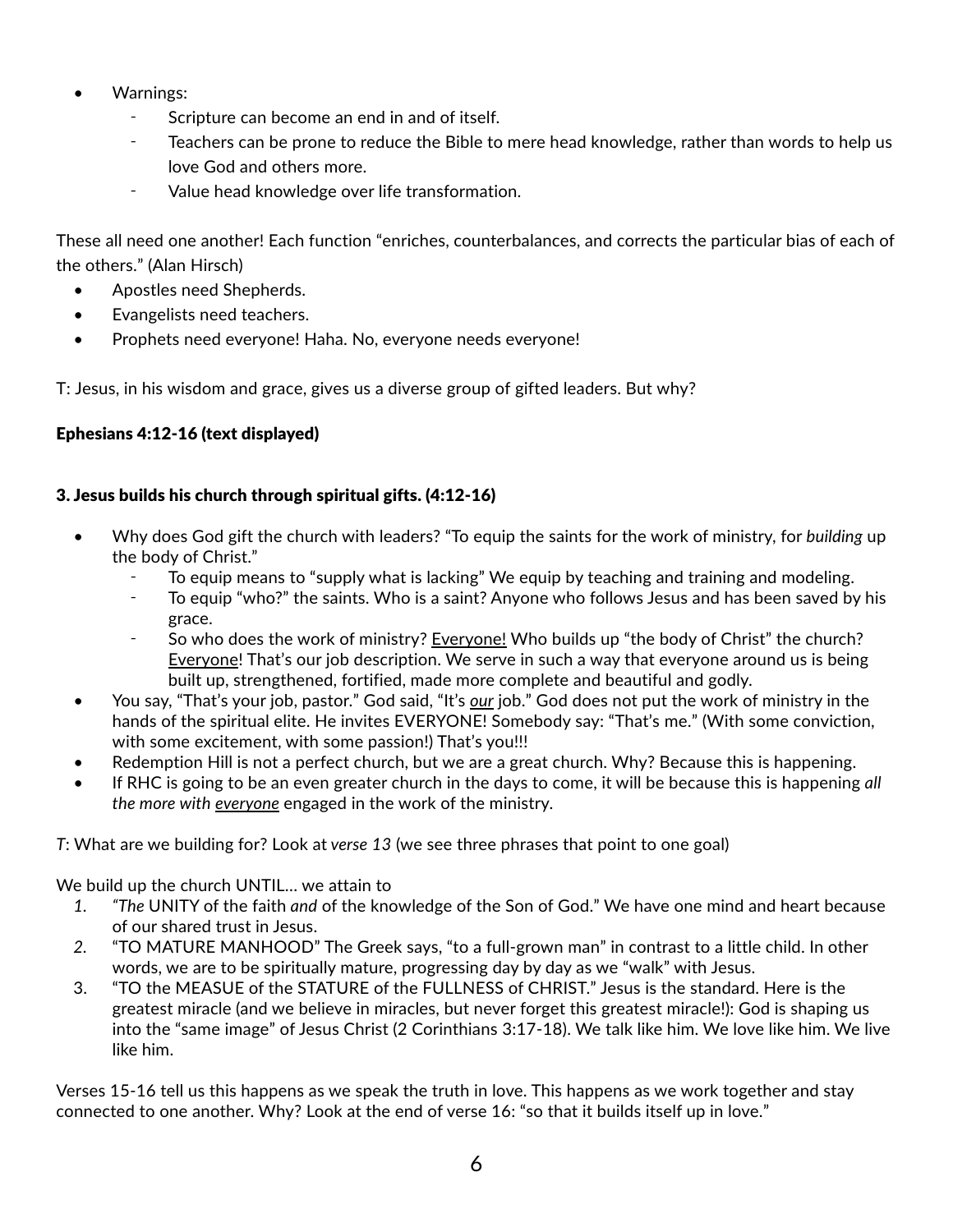- Warnings:
	- Scripture can become an end in and of itself.
	- ⁃ Teachers can be prone to reduce the Bible to mere head knowledge, rather than words to help us love God and others more.
	- ⁃ Value head knowledge over life transformation.

These all need one another! Each function "enriches, counterbalances, and corrects the particular bias of each of the others." (Alan Hirsch)

- Apostles need Shepherds.
- Evangelists need teachers.
- Prophets need everyone! Haha. No, everyone needs everyone!

T: Jesus, in his wisdom and grace, gives us a diverse group of gifted leaders. But why?

# Ephesians 4:12-16 (text displayed)

# 3. Jesus builds his church through spiritual gifts. (4:12-16)

- Why does God gift the church with leaders? "To equip the saints for the work of ministry, for *building* up the body of Christ."
	- To equip means to "supply what is lacking" We equip by teaching and training and modeling.
	- To equip "who?" the saints. Who is a saint? Anyone who follows Jesus and has been saved by his grace.
	- So who does the work of ministry? **Everyone!** Who builds up "the body of Christ" the church? Everyone! That's our job description. We serve in such a way that everyone around us is being built up, strengthened, fortified, made more complete and beautiful and godly.
- You say, "That's your job, pastor." God said, "It's *our* job." God does not put the work of ministry in the hands of the spiritual elite. He invites EVERYONE! Somebody say: "That's me." (With some conviction, with some excitement, with some passion!) That's you!!!
- Redemption Hill is not a perfect church, but we are a great church. Why? Because this is happening.
- If RHC is going to be an even greater church in the days to come, it will be because this is happening *all the more with everyone* engaged in the work of the ministry.

*T*: What are we building for? Look at *verse 13* (we see three phrases that point to one goal)

We build up the church UNTIL… we attain to

- *1. "The* UNITY of the faith *and* of the knowledge of the Son of God." We have one mind and heart because of our shared trust in Jesus.
- *2.* "TO MATURE MANHOOD" The Greek says, "to a full-grown man" in contrast to a little child. In other words, we are to be spiritually mature, progressing day by day as we "walk" with Jesus.
- 3. "TO the MEASUE of the STATURE of the FULLNESS of CHRIST." Jesus is the standard. Here is the greatest miracle (and we believe in miracles, but never forget this greatest miracle!): God is shaping us into the "same image" of Jesus Christ (2 Corinthians 3:17-18). We talk like him. We love like him. We live like him.

Verses 15-16 tell us this happens as we speak the truth in love. This happens as we work together and stay connected to one another. Why? Look at the end of verse 16: "so that it builds itself up in love."